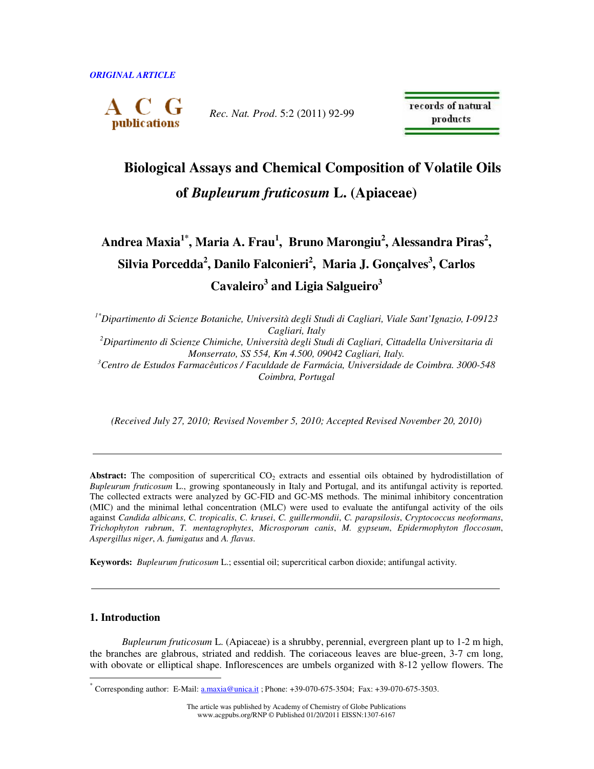

*Rec. Nat. Prod*. 5:2 (2011) 92-99

records of natural products

# **Biological Assays and Chemical Composition of Volatile Oils of** *Bupleurum fruticosum* **L. (Apiaceae)**

**Andrea Maxia1\*, Maria A. Frau<sup>1</sup> , Bruno Marongiu<sup>2</sup> , Alessandra Piras<sup>2</sup> , Silvia Porcedda<sup>2</sup> , Danilo Falconieri<sup>2</sup> , Maria J. Gonçalves<sup>3</sup> , Carlos Cavaleiro<sup>3</sup> and Ligia Salgueiro<sup>3</sup>**

*1\*Dipartimento di Scienze Botaniche, Università degli Studi di Cagliari, Viale Sant'Ignazio, I-09123 Cagliari, Italy <sup>2</sup>Dipartimento di Scienze Chimiche, Università degli Studi di Cagliari, Cittadella Universitaria di Monserrato, SS 554, Km 4.500, 09042 Cagliari, Italy. <sup>3</sup>Centro de Estudos Farmacêuticos / Faculdade de Farmácia, Universidade de Coimbra. 3000-548 Coimbra, Portugal* 

*(Received July 27, 2010; Revised November 5, 2010; Accepted Revised November 20, 2010)* 

Abstract: The composition of supercritical CO<sub>2</sub> extracts and essential oils obtained by hydrodistillation of *Bupleurum fruticosum* L., growing spontaneously in Italy and Portugal, and its antifungal activity is reported. The collected extracts were analyzed by GC-FID and GC-MS methods. The minimal inhibitory concentration (MIC) and the minimal lethal concentration (MLC) were used to evaluate the antifungal activity of the oils against *Candida albicans*, *C. tropicalis*, *C. krusei*, *C. guillermondii*, *C. parapsilosis*, *Cryptococcus neoformans*, *Trichophyton rubrum*, *T. mentagrophytes*, *Microsporum canis*, *M. gypseum*, *Epidermophyton floccosum*, *Aspergillus niger*, *A. fumigatus* and *A. flavus*.

**Keywords:** *Bupleurum fruticosum* L.; essential oil; supercritical carbon dioxide; antifungal activity.

# **1. Introduction**

 $\ddot{\phantom{a}}$ 

*Bupleurum fruticosum* L. (Apiaceae) is a shrubby, perennial, evergreen plant up to 1-2 m high, the branches are glabrous, striated and reddish. The coriaceous leaves are blue-green, 3-7 cm long, with obovate or elliptical shape. Inflorescences are umbels organized with 8-12 yellow flowers. The

<sup>\*</sup> Corresponding author: E-Mail: a.maxia@unica.it ; Phone: +39-070-675-3504; Fax: +39-070-675-3503.

The article was published by Academy of Chemistry of Globe Publications www.acgpubs.org/RNP © Published 01/20/2011 EISSN:1307-6167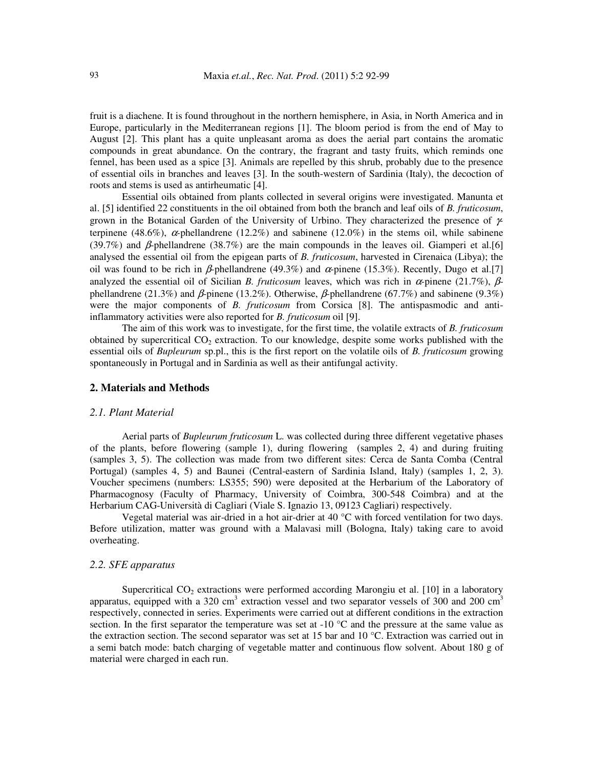fruit is a diachene. It is found throughout in the northern hemisphere, in Asia, in North America and in Europe, particularly in the Mediterranean regions [1]. The bloom period is from the end of May to August [2]. This plant has a quite unpleasant aroma as does the aerial part contains the aromatic compounds in great abundance. On the contrary, the fragrant and tasty fruits, which reminds one fennel, has been used as a spice [3]. Animals are repelled by this shrub, probably due to the presence of essential oils in branches and leaves [3]. In the south-western of Sardinia (Italy), the decoction of roots and stems is used as antirheumatic [4].

Essential oils obtained from plants collected in several origins were investigated. Manunta et al. [5] identified 22 constituents in the oil obtained from both the branch and leaf oils of *B. fruticosum*, grown in the Botanical Garden of the University of Urbino. They characterized the presence of γterpinene (48.6%),  $\alpha$ -phellandrene (12.2%) and sabinene (12.0%) in the stems oil, while sabinene (39.7%) and β*-*phellandrene (38.7%) are the main compounds in the leaves oil. Giamperi et al.[6] analysed the essential oil from the epigean parts of *B. fruticosum*, harvested in Cirenaica (Libya); the oil was found to be rich in  $\beta$ -phellandrene (49.3%) and  $\alpha$ -pinene (15.3%). Recently, Dugo et al.[7] analyzed the essential oil of Sicilian *B. fruticosum* leaves, which was rich in α*-*pinene (21.7%), βphellandrene (21.3%) and β*-*pinene (13.2%). Otherwise, β*-*phellandrene (67.7%) and sabinene (9.3%) were the major components of *B. fruticosum* from Corsica [8]. The antispasmodic and antiinflammatory activities were also reported for *B. fruticosum* oil [9].

The aim of this work was to investigate, for the first time, the volatile extracts of *B. fruticosum* obtained by supercritical  $CO<sub>2</sub>$  extraction. To our knowledge, despite some works published with the essential oils of *Bupleurum* sp.pl., this is the first report on the volatile oils of *B. fruticosum* growing spontaneously in Portugal and in Sardinia as well as their antifungal activity.

# **2. Materials and Methods**

#### *2.1. Plant Material*

Aerial parts of *Bupleurum fruticosum* L. was collected during three different vegetative phases of the plants, before flowering (sample 1), during flowering (samples 2, 4) and during fruiting (samples 3, 5). The collection was made from two different sites: Cerca de Santa Comba (Central Portugal) (samples 4, 5) and Baunei (Central-eastern of Sardinia Island, Italy) (samples 1, 2, 3). Voucher specimens (numbers: LS355; 590) were deposited at the Herbarium of the Laboratory of Pharmacognosy (Faculty of Pharmacy, University of Coimbra, 300-548 Coimbra) and at the Herbarium CAG-Università di Cagliari (Viale S. Ignazio 13, 09123 Cagliari) respectively.

Vegetal material was air-dried in a hot air-drier at 40  $^{\circ}$ C with forced ventilation for two days. Before utilization, matter was ground with a Malavasi mill (Bologna, Italy) taking care to avoid overheating.

# *2.2. SFE apparatus*

Supercritical  $CO<sub>2</sub>$  extractions were performed according Marongiu et al. [10] in a laboratory apparatus, equipped with a 320 cm<sup>3</sup> extraction vessel and two separator vessels of 300 and 200 cm<sup>3</sup> respectively, connected in series. Experiments were carried out at different conditions in the extraction section. In the first separator the temperature was set at -10 °C and the pressure at the same value as the extraction section. The second separator was set at 15 bar and 10 °C. Extraction was carried out in a semi batch mode: batch charging of vegetable matter and continuous flow solvent. About 180 g of material were charged in each run.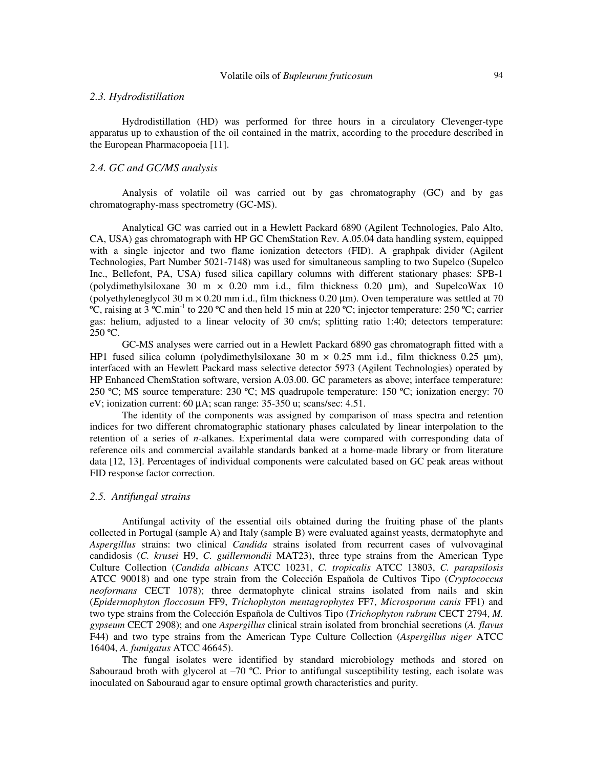### *2.3. Hydrodistillation*

Hydrodistillation (HD) was performed for three hours in a circulatory Clevenger-type apparatus up to exhaustion of the oil contained in the matrix, according to the procedure described in the European Pharmacopoeia [11].

# *2.4. GC and GC/MS analysis*

Analysis of volatile oil was carried out by gas chromatography (GC) and by gas chromatography-mass spectrometry (GC-MS).

Analytical GC was carried out in a Hewlett Packard 6890 (Agilent Technologies, Palo Alto, CA, USA) gas chromatograph with HP GC ChemStation Rev. A.05.04 data handling system, equipped with a single injector and two flame ionization detectors (FID). A graphpak divider (Agilent Technologies, Part Number 5021-7148) was used for simultaneous sampling to two Supelco (Supelco Inc., Bellefont, PA, USA) fused silica capillary columns with different stationary phases: SPB-1 (polydimethylsiloxane 30 m  $\times$  0.20 mm i.d., film thickness 0.20 µm), and SupelcoWax 10 (polyethyleneglycol 30 m  $\times$  0.20 mm i.d., film thickness 0.20  $\mu$ m). Oven temperature was settled at 70 <sup>o</sup>C, raising at 3 <sup>o</sup>C.min<sup>-1</sup> to 220 <sup>o</sup>C and then held 15 min at 220 <sup>o</sup>C; injector temperature: 250 <sup>o</sup>C; carrier gas: helium, adjusted to a linear velocity of 30 cm/s; splitting ratio 1:40; detectors temperature:  $250 °C$ .

GC-MS analyses were carried out in a Hewlett Packard 6890 gas chromatograph fitted with a HP1 fused silica column (polydimethylsiloxane 30 m  $\times$  0.25 mm i.d., film thickness 0.25 µm), interfaced with an Hewlett Packard mass selective detector 5973 (Agilent Technologies) operated by HP Enhanced ChemStation software, version A.03.00. GC parameters as above; interface temperature: 250 ºC; MS source temperature: 230 ºC; MS quadrupole temperature: 150 ºC; ionization energy: 70 eV; ionization current: 60 µA; scan range: 35-350 u; scans/sec: 4.51.

The identity of the components was assigned by comparison of mass spectra and retention indices for two different chromatographic stationary phases calculated by linear interpolation to the retention of a series of *n*-alkanes. Experimental data were compared with corresponding data of reference oils and commercial available standards banked at a home-made library or from literature data [12, 13]. Percentages of individual components were calculated based on GC peak areas without FID response factor correction.

### *2.5. Antifungal strains*

Antifungal activity of the essential oils obtained during the fruiting phase of the plants collected in Portugal (sample A) and Italy (sample B) were evaluated against yeasts, dermatophyte and *Aspergillus* strains: two clinical *Candida* strains isolated from recurrent cases of vulvovaginal candidosis (*C. krusei* H9, *C. guillermondii* MAT23), three type strains from the American Type Culture Collection (*Candida albicans* ATCC 10231, *C. tropicalis* ATCC 13803, *C. parapsilosis* ATCC 90018) and one type strain from the Colección Española de Cultivos Tipo (*Cryptococcus neoformans* CECT 1078); three dermatophyte clinical strains isolated from nails and skin (*Epidermophyton floccosum* FF9, *Trichophyton mentagrophytes* FF7, *Microsporum canis* FF1) and two type strains from the Colección Española de Cultivos Tipo (*Trichophyton rubrum* CECT 2794, *M. gypseum* CECT 2908); and one *Aspergillus* clinical strain isolated from bronchial secretions (*A. flavus* F44) and two type strains from the American Type Culture Collection (*Aspergillus niger* ATCC 16404, *A. fumigatus* ATCC 46645).

The fungal isolates were identified by standard microbiology methods and stored on Sabouraud broth with glycerol at  $-70$  °C. Prior to antifungal susceptibility testing, each isolate was inoculated on Sabouraud agar to ensure optimal growth characteristics and purity.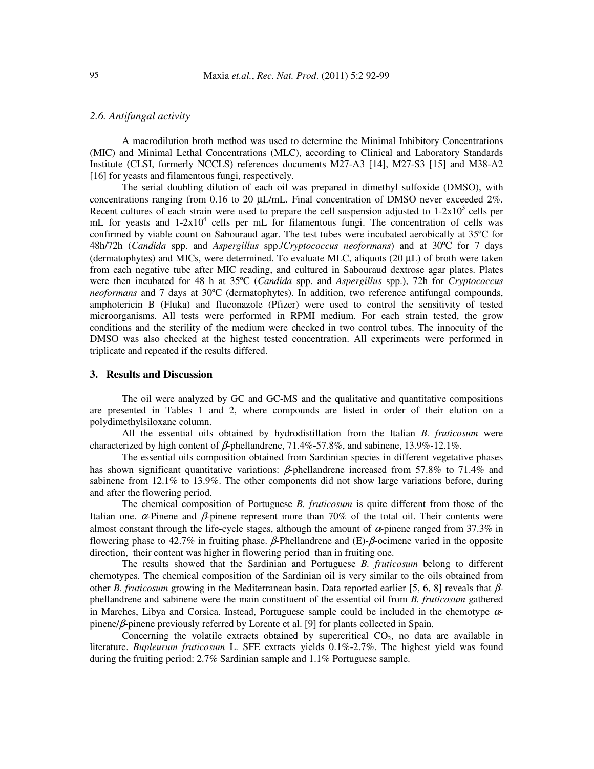# *2.6. Antifungal activity*

A macrodilution broth method was used to determine the Minimal Inhibitory Concentrations (MIC) and Minimal Lethal Concentrations (MLC), according to Clinical and Laboratory Standards Institute (CLSI, formerly NCCLS) references documents M27-A3 [14], M27-S3 [15] and M38-A2 [16] for yeasts and filamentous fungi, respectively.

The serial doubling dilution of each oil was prepared in dimethyl sulfoxide (DMSO), with concentrations ranging from 0.16 to 20  $\mu L$ /mL. Final concentration of DMSO never exceeded 2%. Recent cultures of each strain were used to prepare the cell suspension adjusted to  $1-2x10^3$  cells per mL for yeasts and  $1-2x10^4$  cells per mL for filamentous fungi. The concentration of cells was confirmed by viable count on Sabouraud agar. The test tubes were incubated aerobically at 35ºC for 48h/72h (*Candida* spp. and *Aspergillus* spp./*Cryptococcus neoformans*) and at 30ºC for 7 days (dermatophytes) and MICs, were determined. To evaluate MLC, aliquots (20 µL) of broth were taken from each negative tube after MIC reading, and cultured in Sabouraud dextrose agar plates. Plates were then incubated for 48 h at 35ºC (*Candida* spp. and *Aspergillus* spp.), 72h for *Cryptococcus neoformans* and 7 days at 30ºC (dermatophytes). In addition, two reference antifungal compounds, amphotericin B (Fluka) and fluconazole (Pfizer) were used to control the sensitivity of tested microorganisms. All tests were performed in RPMI medium. For each strain tested, the grow conditions and the sterility of the medium were checked in two control tubes. The innocuity of the DMSO was also checked at the highest tested concentration. All experiments were performed in triplicate and repeated if the results differed.

#### **3. Results and Discussion**

The oil were analyzed by GC and GC-MS and the qualitative and quantitative compositions are presented in Tables 1 and 2, where compounds are listed in order of their elution on a polydimethylsiloxane column.

All the essential oils obtained by hydrodistillation from the Italian *B. fruticosum* were characterized by high content of  $\beta$ -phellandrene, 71.4%-57.8%, and sabinene, 13.9%-12.1%.

The essential oils composition obtained from Sardinian species in different vegetative phases has shown significant quantitative variations: β-phellandrene increased from 57.8% to 71.4% and sabinene from 12.1% to 13.9%. The other components did not show large variations before, during and after the flowering period.

The chemical composition of Portuguese *B. fruticosum* is quite different from those of the Italian one.  $\alpha$ -Pinene and  $\beta$ -pinene represent more than 70% of the total oil. Their contents were almost constant through the life-cycle stages, although the amount of  $\alpha$ -pinene ranged from 37.3% in flowering phase to 42.7% in fruiting phase. β-Phellandrene and (E)-β-ocimene varied in the opposite direction, their content was higher in flowering period than in fruiting one.

The results showed that the Sardinian and Portuguese *B. fruticosum* belong to different chemotypes. The chemical composition of the Sardinian oil is very similar to the oils obtained from other *B. fruticosum* growing in the Mediterranean basin. Data reported earlier [5, 6, 8] reveals that βphellandrene and sabinene were the main constituent of the essential oil from *B. fruticosum* gathered in Marches, Libya and Corsica. Instead, Portuguese sample could be included in the chemotype  $\alpha$ pinene/β-pinene previously referred by Lorente et al. [9] for plants collected in Spain.

Concerning the volatile extracts obtained by supercritical  $CO<sub>2</sub>$ , no data are available in literature. *Bupleurum fruticosum* L. SFE extracts yields 0.1%-2.7%. The highest yield was found during the fruiting period: 2.7% Sardinian sample and 1.1% Portuguese sample.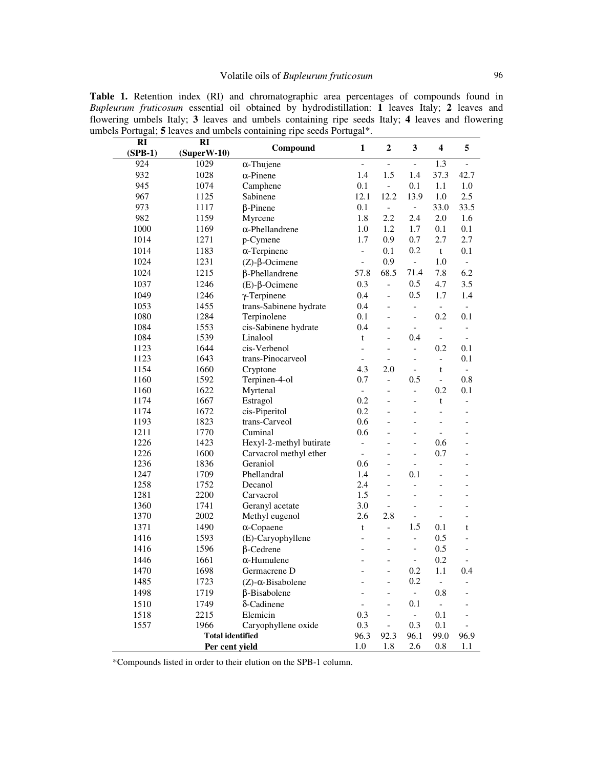| RI<br>$(SPB-1)$ | RI<br>$(Super W-10)$                      | Compound                     | $\mathbf{1}$             | $\boldsymbol{2}$             | $\mathbf{3}$              | $\overline{\mathbf{4}}$  | 5                           |
|-----------------|-------------------------------------------|------------------------------|--------------------------|------------------------------|---------------------------|--------------------------|-----------------------------|
| 924             | 1029                                      | $\alpha$ -Thujene            | $\blacksquare$           | $\overline{\phantom{a}}$     | $\overline{\phantom{a}}$  | 1.3                      | $\frac{1}{2}$               |
| 932             | 1028                                      | $\alpha$ -Pinene             | 1.4                      | 1.5                          | 1.4                       | 37.3                     | 42.7                        |
| 945             | 1074                                      | Camphene                     | 0.1                      | $\mathcal{L}_{\mathcal{A}}$  | 0.1                       | 1.1                      | 1.0                         |
| 967             | 1125                                      | Sabinene                     | 12.1                     | 12.2                         | 13.9                      | 1.0                      | 2.5                         |
| 973             | 1117                                      | $\beta$ -Pinene              | 0.1                      | $\blacksquare$               | $\overline{\phantom{a}}$  | 33.0                     | 33.5                        |
| 982             | 1159                                      | Myrcene                      | 1.8                      | 2.2                          | 2.4                       | 2.0                      | 1.6                         |
| 1000            | 1169                                      | $\alpha$ -Phellandrene       | 1.0                      | 1.2                          | 1.7                       | 0.1                      | 0.1                         |
| 1014            | 1271                                      | p-Cymene                     | 1.7                      | 0.9                          | 0.7                       | 2.7                      | 2.7                         |
| 1014            | 1183                                      | $\alpha$ -Terpinene          | $\frac{1}{2}$            | 0.1                          | 0.2                       | $\mathbf t$              | 0.1                         |
| 1024            | 1231                                      |                              | $\overline{\phantom{a}}$ | 0.9                          | $\blacksquare$            | 1.0                      | $\overline{\phantom{a}}$    |
|                 |                                           | $(Z)$ - $\beta$ -Ocimene     |                          | 68.5                         | 71.4                      |                          | 6.2                         |
| 1024            | 1215                                      | β-Phellandrene               | 57.8                     |                              |                           | 7.8                      |                             |
| 1037            | 1246                                      | $(E)$ - $\beta$ -Ocimene     | 0.3                      | $\frac{1}{2}$                | 0.5                       | 4.7                      | 3.5                         |
| 1049            | 1246                                      | $\gamma$ -Terpinene          | 0.4                      | $\frac{1}{2}$                | 0.5                       | 1.7                      | 1.4                         |
| 1053            | 1455                                      | trans-Sabinene hydrate       | 0.4                      | $\frac{1}{2}$                | $\overline{\phantom{0}}$  | $\overline{\phantom{a}}$ | $\overline{\phantom{a}}$    |
| 1080            | 1284                                      | Terpinolene                  | 0.1                      | $\overline{\phantom{0}}$     | $\frac{1}{2}$             | 0.2                      | 0.1                         |
| 1084            | 1553                                      | cis-Sabinene hydrate         | 0.4                      | $\overline{\phantom{0}}$     | $\overline{\phantom{a}}$  | $\overline{\phantom{0}}$ | $\overline{\phantom{a}}$    |
| 1084            | 1539                                      | Linalool                     | t                        | $\overline{a}$               | 0.4                       | $\overline{\phantom{0}}$ | $\overline{\phantom{a}}$    |
| 1123            | 1644                                      | cis-Verbenol                 | $\overline{a}$           | $\overline{\phantom{0}}$     | $\overline{\phantom{a}}$  | 0.2                      | 0.1                         |
| 1123            | 1643                                      | trans-Pinocarveol            | $\blacksquare$           | $\overline{a}$               | $\overline{a}$            | $\overline{\phantom{0}}$ | 0.1                         |
| 1154            | 1660                                      | Cryptone                     | 4.3                      | 2.0                          | $\blacksquare$            | t                        | $\mathcal{L}_{\mathcal{A}}$ |
| 1160            | 1592                                      | Terpinen-4-ol                | 0.7                      | $\frac{1}{2}$                | 0.5                       | $\overline{\phantom{a}}$ | 0.8                         |
| 1160            | 1622                                      | Myrtenal                     | $\blacksquare$           |                              | $\overline{a}$            | 0.2                      | 0.1                         |
| 1174            | 1667                                      | Estragol                     | 0.2                      | $\overline{a}$               | $\overline{a}$            | t                        | $\overline{\phantom{0}}$    |
| 1174            | 1672                                      | cis-Piperitol                | 0.2                      |                              | $\overline{a}$            | $\overline{a}$           | $\frac{1}{2}$               |
| 1193            | 1823                                      | trans-Carveol                | 0.6                      |                              | $\overline{a}$            | $\overline{a}$           | $\overline{\phantom{0}}$    |
| 1211            | 1770                                      | Cuminal                      | 0.6                      |                              | $\overline{a}$            | $\overline{a}$           | $\overline{\phantom{a}}$    |
| 1226            | 1423                                      | Hexyl-2-methyl butirate      | $\equiv$                 |                              | $\overline{a}$            | 0.6                      |                             |
| 1226            | 1600                                      | Carvacrol methyl ether       | $\overline{\phantom{a}}$ |                              | $\overline{a}$            | 0.7                      |                             |
| 1236            | 1836                                      | Geraniol                     | 0.6                      | $\overline{a}$               | $\overline{a}$            | $\overline{a}$           |                             |
| 1247            | 1709                                      | Phellandral                  | 1.4                      | $\overline{\phantom{0}}$     | 0.1                       | $\overline{a}$           | $\overline{\phantom{0}}$    |
| 1258            | 1752                                      | Decanol                      | 2.4                      | $\overline{a}$               | $\overline{\phantom{0}}$  | $\overline{a}$           | $\overline{\phantom{a}}$    |
| 1281            | 2200                                      | Carvacrol                    | 1.5                      | $\overline{a}$               | $\overline{a}$            |                          |                             |
| 1360            | 1741                                      | Geranyl acetate              | 3.0                      | $\overline{\phantom{a}}$     | $\overline{a}$            | $\overline{a}$           | $\overline{a}$              |
| 1370            | 2002                                      | Methyl eugenol               | 2.6                      | 2.8                          | $\frac{1}{2}$             | $\overline{a}$           | $\overline{a}$              |
| 1371            | 1490                                      | $\alpha$ -Copaene            | t                        | $\overline{a}$               | 1.5                       | 0.1                      | t                           |
| 1416            | 1593                                      | (E)-Caryophyllene            | $\overline{a}$           | $\overline{\phantom{0}}$     | $\overline{\phantom{0}}$  | 0.5                      | $\overline{\phantom{0}}$    |
| 1416            | 1596                                      | $\beta$ -Cedrene             | $\overline{a}$           | $\overline{a}$               | $\overline{\phantom{0}}$  | 0.5                      | $\overline{a}$              |
| 1446            | 1661                                      | $\alpha$ -Humulene           |                          |                              | $\overline{\phantom{0}}$  | 0.2                      | $\overline{\phantom{a}}$    |
| 1470            | 1698                                      | Germacrene D                 |                          |                              | 0.2                       | 1.1                      | 0.4                         |
| 1485            | 1723                                      | $(Z)$ - $\alpha$ -Bisabolene |                          | $\overline{a}$               | 0.2                       | $\frac{1}{2}$            |                             |
| 1498            | 1719                                      | $\beta$ -Bisabolene          |                          | $\overline{\phantom{0}}$     | $\overline{\phantom{a}}$  | 0.8                      |                             |
|                 |                                           | δ-Cadinene                   |                          |                              | 0.1                       | $\overline{\phantom{a}}$ |                             |
| 1510            | 1749                                      |                              |                          |                              | $\mathbb{L}^{\mathbb{N}}$ |                          |                             |
| 1518            | 2215                                      | Elemicin                     | 0.3                      | $\qquad \qquad \blacksquare$ |                           | 0.1                      |                             |
| 1557            | 1966                                      | Caryophyllene oxide          | 0.3                      | $\Box$                       | 0.3                       | 0.1                      | $\blacksquare$              |
|                 | <b>Total identified</b><br>Per cent yield |                              | 96.3<br>1.0              | 92.3<br>1.8                  | 96.1<br>2.6               | 99.0<br>0.8              | 96.9<br>1.1                 |

**Table 1.** Retention index (RI) and chromatographic area percentages of compounds found in *Bupleurum fruticosum* essential oil obtained by hydrodistillation: **1** leaves Italy; **2** leaves and flowering umbels Italy; **3** leaves and umbels containing ripe seeds Italy; **4** leaves and flowering

\*Compounds listed in order to their elution on the SPB-1 column.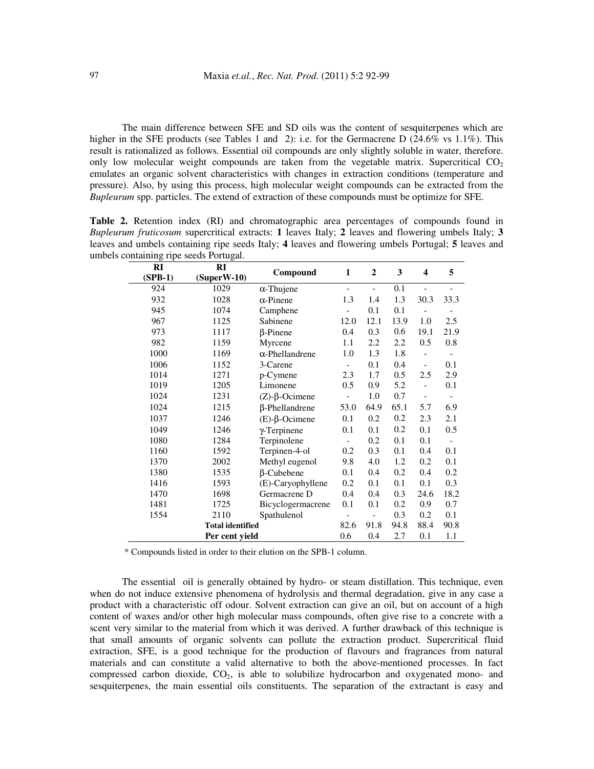The main difference between SFE and SD oils was the content of sesquiterpenes which are higher in the SFE products (see Tables 1 and 2): i.e. for the Germacrene D (24.6% vs 1.1%). This result is rationalized as follows. Essential oil compounds are only slightly soluble in water, therefore. only low molecular weight compounds are taken from the vegetable matrix. Supercritical  $CO<sub>2</sub>$ emulates an organic solvent characteristics with changes in extraction conditions (temperature and pressure). Also, by using this process, high molecular weight compounds can be extracted from the *Bupleurum* spp. particles. The extend of extraction of these compounds must be optimize for SFE.

**Table 2.** Retention index (RI) and chromatographic area percentages of compounds found in *Bupleurum fruticosum* supercritical extracts: **1** leaves Italy; **2** leaves and flowering umbels Italy; **3** leaves and umbels containing ripe seeds Italy; **4** leaves and flowering umbels Portugal; **5** leaves and umbels containing ripe seeds Portugal.

| RI                      | RI             | Compound                               | $\mathbf{1}$             | $\overline{2}$           | 3    | $\overline{\mathbf{4}}$      | 5                        |
|-------------------------|----------------|----------------------------------------|--------------------------|--------------------------|------|------------------------------|--------------------------|
| (SPB-1)                 | $(Super W-10)$ |                                        |                          |                          |      |                              |                          |
| 924                     | 1029           | $\alpha$ -Thujene                      | $\overline{\phantom{0}}$ | $\overline{\phantom{0}}$ | 0.1  | $\overline{a}$               | $\overline{\phantom{0}}$ |
| 932                     | 1028           | $\alpha$ -Pinene                       | 1.3                      | 1.4                      | 1.3  | 30.3                         | 33.3                     |
| 945                     | 1074           | Camphene                               |                          | 0.1                      | 0.1  |                              |                          |
| 967                     | 1125           | Sabinene                               | 12.0                     | 12.1                     | 13.9 | 1.0                          | 2.5                      |
| 973                     | 1117           | $\beta$ -Pinene                        | 0.4                      | 0.3                      | 0.6  | 19.1                         | 21.9                     |
| 982                     | 1159           | Myrcene                                | 1.1                      | 2.2                      | 2.2  | 0.5                          | 0.8                      |
| 1000                    | 1169           | $\alpha$ -Phellandrene                 | 1.0                      | 1.3                      | 1.8  | $\overline{a}$               |                          |
| 1006                    | 1152           | 3-Carene                               | $\overline{a}$           | 0.1                      | 0.4  | $\qquad \qquad \blacksquare$ | 0.1                      |
| 1014                    | 1271           | p-Cymene                               | 2.3                      | 1.7                      | 0.5  | 2.5                          | 2.9                      |
| 1019                    | 1205           | Limonene                               | 0.5                      | 0.9                      | 5.2  | $\overline{a}$               | 0.1                      |
| 1024                    | 1231           | $(Z)$ - $\beta$ -Ocimene               | $\overline{a}$           | 1.0                      | 0.7  | $\overline{a}$               | $\overline{\phantom{m}}$ |
| 1024                    | 1215           | $\beta$ -Phellandrene                  | 53.0                     | 64.9                     | 65.1 | 5.7                          | 6.9                      |
| 1037                    | 1246           | $(E)$ - $\beta$ -Ocimene               | 0.1                      | 0.2                      | 0.2  | 2.3                          | 2.1                      |
| 1049                    | 1246           | $\gamma$ -Terpinene                    | 0.1                      | 0.1                      | 0.2  | 0.1                          | 0.5                      |
| 1080                    | 1284           | Terpinolene                            | $\frac{1}{2}$            | 0.2                      | 0.1  | 0.1                          | $\frac{1}{2}$            |
| 1160                    | 1592           | Terpinen-4-ol<br>0.2                   |                          | 0.3                      | 0.1  | 0.4                          | 0.1                      |
| 1370                    | 2002           | Methyl eugenol                         | 9.8                      | 4.0                      | 1.2  | 0.2                          | 0.1                      |
| 1380                    | 1535           | $\beta$ -Cubebene<br>0.1               |                          | 0.4                      | 0.2  | 0.4                          | 0.2                      |
| 1416                    | 1593           | (E)-Caryophyllene<br>0.2<br>0.1<br>0.1 |                          | 0.1                      | 0.3  |                              |                          |
| 1470                    | 1698           | 0.3<br>Germacrene D<br>0.4<br>0.4      |                          | 24.6                     | 18.2 |                              |                          |
| 1481                    | 1725           | Bicyclogermacrene                      | 0.1                      | 0.1                      | 0.2  | 0.9                          | 0.7                      |
| 1554                    | 2110           | Spathulenol                            |                          | $\overline{\phantom{0}}$ | 0.3  | 0.2                          | 0.1                      |
| <b>Total identified</b> |                |                                        |                          | 91.8                     | 94.8 | 88.4                         | 90.8                     |
| Per cent yield          |                |                                        |                          | 0.4                      | 2.7  | 0.1                          | 1.1                      |

\* Compounds listed in order to their elution on the SPB-1 column.

The essential oil is generally obtained by hydro- or steam distillation. This technique, even when do not induce extensive phenomena of hydrolysis and thermal degradation, give in any case a product with a characteristic off odour. Solvent extraction can give an oil, but on account of a high content of waxes and/or other high molecular mass compounds, often give rise to a concrete with a scent very similar to the material from which it was derived. A further drawback of this technique is that small amounts of organic solvents can pollute the extraction product. Supercritical fluid extraction, SFE, is a good technique for the production of flavours and fragrances from natural materials and can constitute a valid alternative to both the above-mentioned processes. In fact compressed carbon dioxide, CO2, is able to solubilize hydrocarbon and oxygenated mono- and sesquiterpenes, the main essential oils constituents. The separation of the extractant is easy and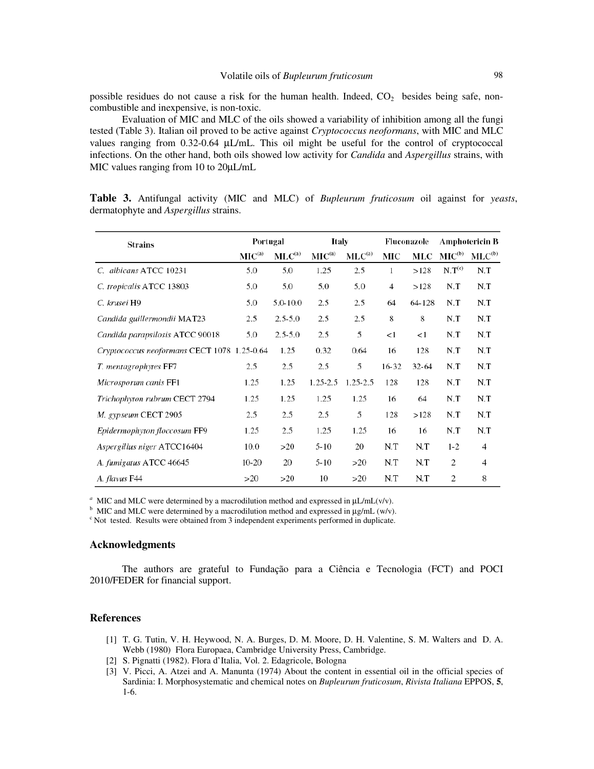possible residues do not cause a risk for the human health. Indeed,  $CO<sub>2</sub>$  besides being safe, noncombustible and inexpensive, is non-toxic.

Evaluation of MIC and MLC of the oils showed a variability of inhibition among all the fungi tested (Table 3). Italian oil proved to be active against *Cryptococcus neoformans*, with MIC and MLC values ranging from 0.32-0.64 µL/mL. This oil might be useful for the control of cryptococcal infections. On the other hand, both oils showed low activity for *Candida* and *Aspergillus* strains, with MIC values ranging from 10 to  $20\mu L/mL$ 

| <b>Strains</b>                              | Portugal          |             | Italy                |              | Fluconazole |           | <b>Amphotericin B</b> |                |
|---------------------------------------------|-------------------|-------------|----------------------|--------------|-------------|-----------|-----------------------|----------------|
|                                             | MC <sup>(a)</sup> | $MLC^{(a)}$ | $\mathbf{MIC}^{(a)}$ | $MLC^{(a)}$  | MIC         | MLC       | $MIC^{(b)}$           | $MLC^{(b)}$    |
| C. albicans ATCC 10231                      | 5.0               | 5.0         | 1.25                 | 2.5          | 1           | >128      | N.T <sup>(c)</sup>    | N.T            |
| C. tropicalis ATCC 13803                    | 5.0               | 5.0         | 5.0                  | 5.0          | 4           | >128      | N.T                   | N.T            |
| C. krusei H9                                | 5.0               | 5.0-10.0    | 2.5                  | 2.5          | 64          | 64-128    | N.T                   | N.T            |
| Candida guillermondii MAT23                 | 2.5               | $2.5 - 5.0$ | 2.5                  | 2.5          | 8           | 8         | N.T                   | N.T            |
| Candida parapsilosis ATCC 90018             | 5.0               | $2.5 - 5.0$ | 2.5                  | 5            | <1          | <1        | N.T                   | N.T            |
| Cryptococcus neoformans CECT 1078 1.25-0.64 |                   | 1.25        | 0.32                 | 0.64         | 16          | 128       | N.T                   | N.T            |
| T. mentagrophytes FF7                       | 2.5               | 2.5         | 2.5                  | 5            | $16 - 32$   | $32 - 64$ | N.T                   | N.T            |
| Microsporum canis FF1                       | 1.25              | 1.25        | $1.25 - 2.5$         | $1.25 - 2.5$ | 128         | 128       | N.T                   | N.T            |
| Trichophyton rubrum CECT 2794               | 1.25              | 1.25        | 1.25                 | 1.25         | 16          | 64        | N.T                   | N.T            |
| M. gypseum CECT 2905                        | 2.5               | 2.5         | 2.5                  | 5            | 128         | >128      | N.T                   | N.T            |
| Epidermophyton floccosum FF9                | 1.25              | 2.5         | 1.25                 | 1.25         | 16          | 16        | N.T                   | N.T            |
| Aspergillus niger ATCC16404                 | 10.0              | >20         | $5 - 10$             | 20           | N.T         | N.T       | $1 - 2$               | $\overline{4}$ |
| A. fumigatus ATCC 46645                     | $10-20$           | 20          | $5 - 10$             | >20          | N.T         | N.T       | 2                     | $\overline{4}$ |
| A. flavus F44                               | >20               | >20         | 10                   | >20          | N.T         | N.T       | 2                     | 8              |

**Table 3.** Antifungal activity (MIC and MLC) of *Bupleurum fruticosum* oil against for *yeasts*, dermatophyte and *Aspergillus* strains.

<sup>*a*</sup> MIC and MLC were determined by a macrodilution method and expressed in  $\mu$ L/mL(v/v).

<sup>b</sup> MIC and MLC were determined by a macrodilution method and expressed in  $\mu$ g/mL (w/v).

<sup>c</sup> Not tested. Results were obtained from 3 independent experiments performed in duplicate.

### **Acknowledgments**

The authors are grateful to Fundação para a Ciência e Tecnologia (FCT) and POCI 2010/FEDER for financial support.

### **References**

- [1] T. G. Tutin, V. H. Heywood, N. A. Burges, D. M. Moore, D. H. Valentine, S. M. Walters and D. A. Webb (1980) Flora Europaea, Cambridge University Press, Cambridge.
- [2] S. Pignatti (1982). Flora d'Italia, Vol. 2. Edagricole, Bologna
- [3] V. Picci, A. Atzei and A. Manunta (1974) About the content in essential oil in the official species of Sardinia: I. Morphosystematic and chemical notes on *Bupleurum fruticosum*, *Rivista Italiana* EPPOS, **5**, 1-6.